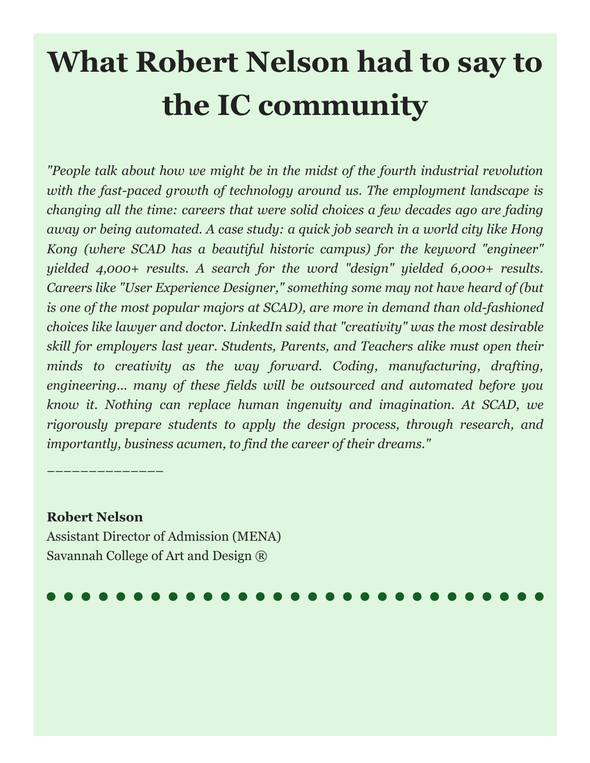# **What Robert Nelson had to say to the IC community**

*"People talk about how we might be in the midst of the fourth industrial revolution with the fast-paced growth of technology around us. The employment landscape is changing all the time: careers that were solid choices a few decades ago are fading away or being automated. A case study: a quick job search in a world city like Hong Kong (where SCAD has a beautiful historic campus) for the keyword "engineer" yielded 4,000+ results. A search for the word "design" yielded 6,000+ results. Careers like "User Experience Designer," something some may not have heard of (but is one of the most popular majors at SCAD), are more in demand than old-fashioned choices like lawyer and doctor. LinkedIn said that "creativity" was the most desirable skill for employers last year. Students, Parents, and Teachers alike must open their minds to creativity as the way forward. Coding, manufacturing, drafting, engineering... many of these fields will be outsourced and automated before you know it. Nothing can replace human ingenuity and imagination. At SCAD, we rigorously prepare students to apply the design process, through research, and importantly, business acumen, to find the career of their dreams."*

# **Robert Nelson**

––––––––––––––

Assistant Director of Admission (MENA) Savannah College of Art and Design ®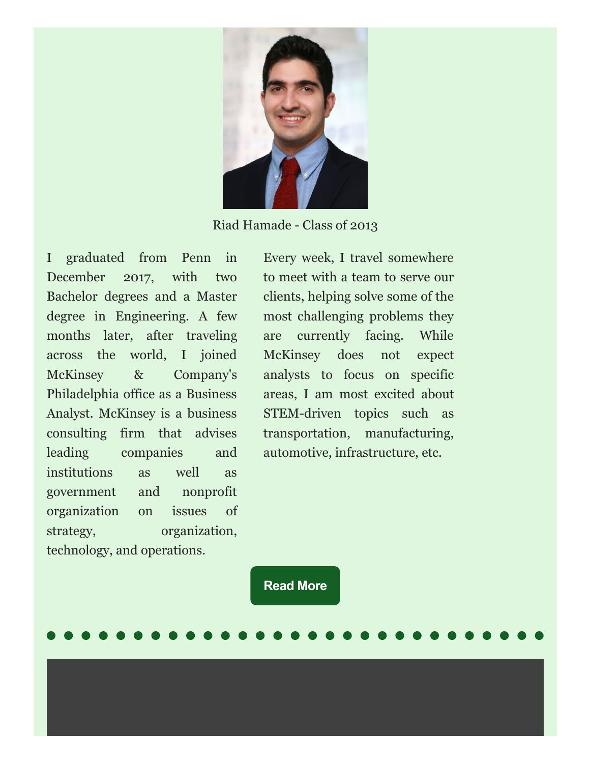

Riad Hamade - Class of 2013

I graduated from Penn in December 2017, with two Bachelor degrees and a Master degree in Engineering. A few months later, after traveling across the world, I joined McKinsey & Company's Philadelphia office as a Business Analyst. McKinsey is a business consulting firm that advises leading companies and institutions as well as government and nonprofit organization on issues of strategy, organization, technology, and operations.

Every week, I travel somewhere to meet with a team to serve our clients, helping solve some of the most challenging problems they are currently facing. While McKinsey does not expect analysts to focus on specific areas, I am most excited about STEM-driven topics such as transportation, manufacturing, automotive, infrastructure, etc.

**[Read](https://docs.google.com/document/d/1FeqULnH3rInCjUfB8NG67THJUDHNoa_Uuevcg2IJG8s/edit?ts=5c598103) More**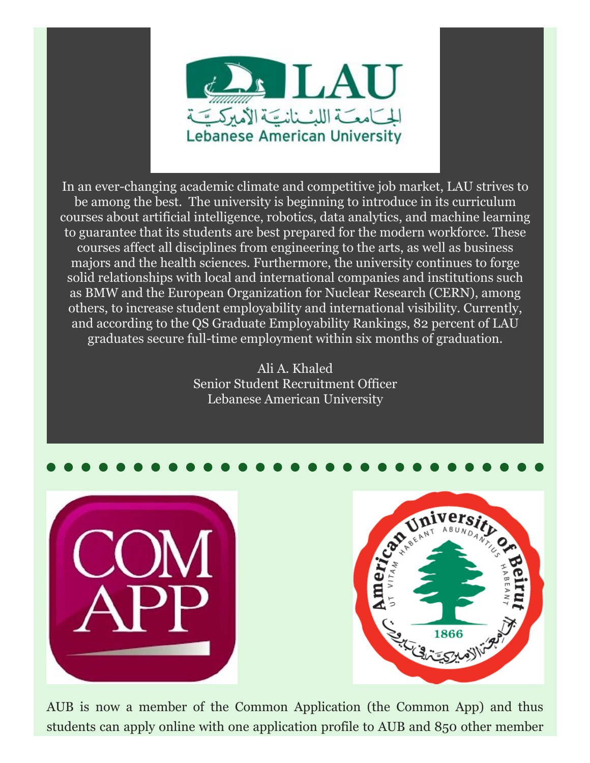

In an ever-changing academic climate and competitive job market, LAU strives to be among the best. The university is beginning to introduce in its curriculum courses about artificial intelligence, robotics, data analytics, and machine learning to guarantee that its students are best prepared for the modern workforce. These courses affect all disciplines from engineering to the arts, as well as business majors and the health sciences. Furthermore, the university continues to forge solid relationships with local and international companies and institutions such as BMW and the European Organization for Nuclear Research (CERN), among others, to increase student employability and international visibility. Currently, and according to the QS Graduate Employability Rankings, 82 percent of LAU graduates secure full-time employment within six months of graduation.

> Ali A. Khaled Senior Student Recruitment Officer Lebanese American University







AUB is now a member of the Common Application (the Common App) and thus students can apply online with one application profile to AUB and 850 other member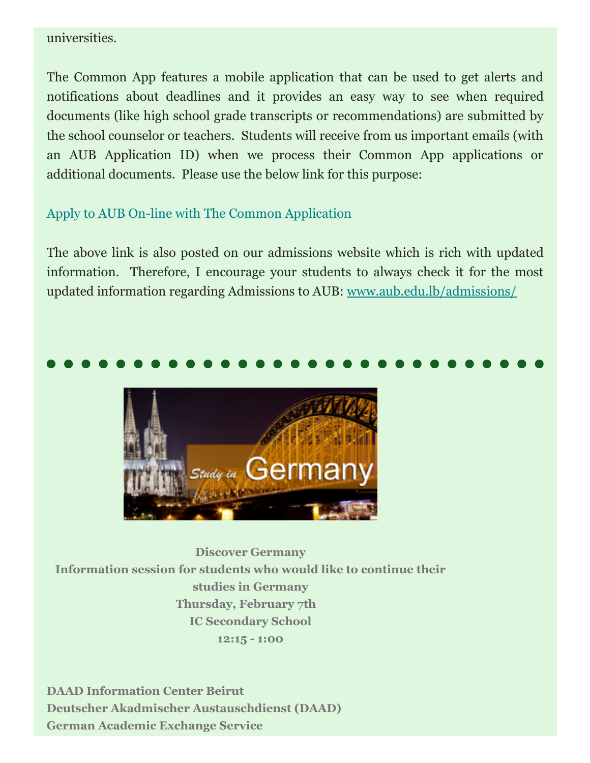# universities.

The Common App features a mobile application that can be used to get alerts and notifications about deadlines and it provides an easy way to see when required documents (like high school grade transcripts or recommendations) are submitted by the school counselor or teachers. Students will receive from us important emails (with an AUB Application ID) when we process their Common App applications or additional documents. Please use the below link for this purpose:

# [Apply to AUB On-line with The Common Application](https://www.commonapp.org/how-apply/)

The above link is also posted on our admissions website which is rich with updated information. Therefore, I encourage your students to always check it for the most updated information regarding Admissions to AUB: [www.aub.edu.lb/admissions/](http://www.aub.edu.lb/admissions/)



**Discover Germany Information session for students who would like to continue their studies in Germany Thursday, February 7th IC Secondary School 12:15 - 1:00**

**DAAD Information Center Beirut Deutscher Akadmischer Austauschdienst (DAAD) German Academic Exchange Service**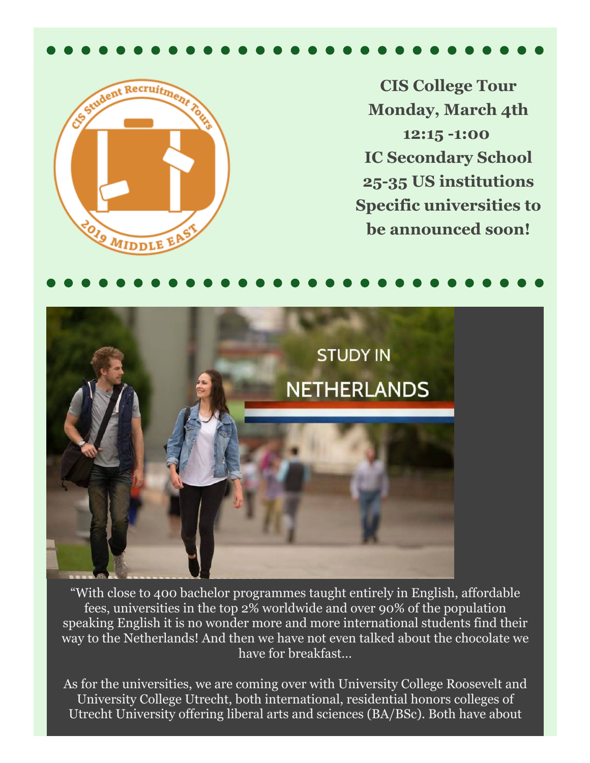

**CIS College Tour Monday, March 4th 12:15 -1:00 IC Secondary School 25-35 US institutions Specific universities to be announced soon!**





"With close to 400 bachelor programmes taught entirely in English, affordable fees, universities in the top 2% worldwide and over 90% of the population speaking English it is no wonder more and more international students find their way to the Netherlands! And then we have not even talked about the chocolate we have for breakfast…

As for the universities, we are coming over with University College Roosevelt and University College Utrecht, both international, residential honors colleges of Utrecht University offering liberal arts and sciences (BA/BSc). Both have about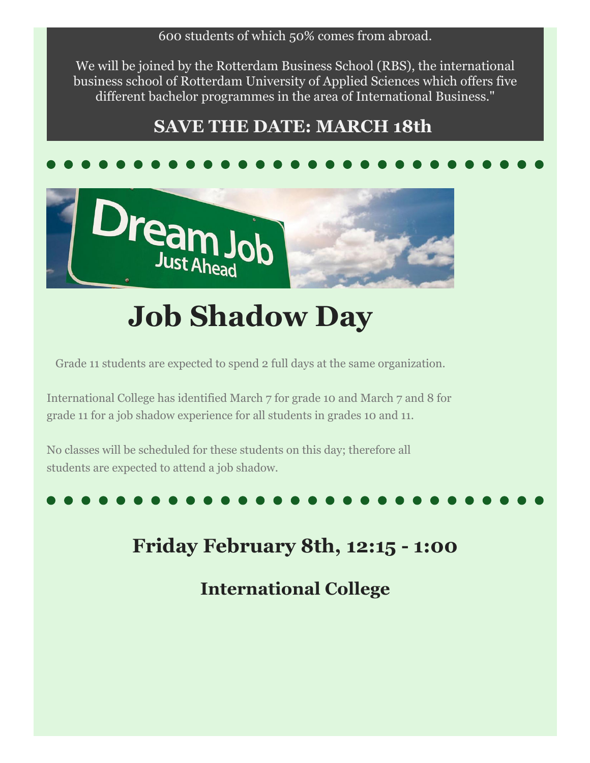# 600 students of which 50% comes from abroad.

We will be joined by the Rotterdam Business School (RBS), the international business school of Rotterdam University of Applied Sciences which offers five different bachelor programmes in the area of International Business."

# **SAVE THE DATE: MARCH 18th**



# **Job Shadow Day**

Grade 11 students are expected to spend 2 full days at the same organization.

International College has identified March 7 for grade 10 and March 7 and 8 for grade 11 for a job shadow experience for all students in grades 10 and 11.

No classes will be scheduled for these students on this day; therefore all students are expected to attend a job shadow.

# **Friday February 8th, 12:15 - 1:00**

**International College**